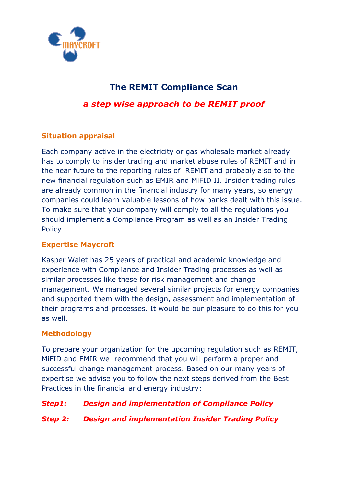

# **The REMIT Compliance Scan**

*a step wise approach to be REMIT proof* 

# **Situation appraisal**

Each company active in the electricity or gas wholesale market already has to comply to insider trading and market abuse rules of REMIT and in the near future to the reporting rules of REMIT and probably also to the new financial regulation such as EMIR and MiFID II. Insider trading rules are already common in the financial industry for many years, so energy companies could learn valuable lessons of how banks dealt with this issue. To make sure that your company will comply to all the regulations you should implement a Compliance Program as well as an Insider Trading Policy.

### **Expertise Maycroft**

Kasper Walet has 25 years of practical and academic knowledge and experience with Compliance and Insider Trading processes as well as similar processes like these for risk management and change management. We managed several similar projects for energy companies and supported them with the design, assessment and implementation of their programs and processes. It would be our pleasure to do this for you as well.

### **Methodology**

To prepare your organization for the upcoming regulation such as REMIT, MiFID and EMIR we recommend that you will perform a proper and successful change management process. Based on our many years of expertise we advise you to follow the next steps derived from the Best Practices in the financial and energy industry:

### *Step1: Design and implementation of Compliance Policy*

### *Step 2: Design and implementation Insider Trading Policy*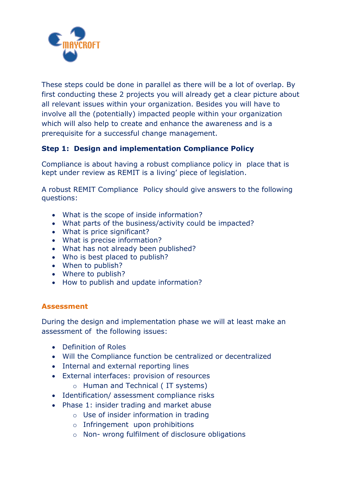

These steps could be done in parallel as there will be a lot of overlap. By first conducting these 2 projects you will already get a clear picture about all relevant issues within your organization. Besides you will have to involve all the (potentially) impacted people within your organization which will also help to create and enhance the awareness and is a prerequisite for a successful change management.

### **Step 1: Design and implementation Compliance Policy**

Compliance is about having a robust compliance policy in place that is kept under review as REMIT is a living' piece of legislation.

A robust REMIT Compliance Policy should give answers to the following questions:

- What is the scope of inside information?
- What parts of the business/activity could be impacted?
- What is price significant?
- What is precise information?
- What has not already been published?
- Who is best placed to publish?
- When to publish?
- Where to publish?
- How to publish and update information?

#### **Assessment**

During the design and implementation phase we will at least make an assessment of the following issues:

- Definition of Roles
- Will the Compliance function be centralized or decentralized
- Internal and external reporting lines
- External interfaces: provision of resources
	- o Human and Technical ( IT systems)
- Identification/ assessment compliance risks
- Phase 1: insider trading and market abuse
	- o Use of insider information in trading
	- o Infringement upon prohibitions
	- o Non- wrong fulfilment of disclosure obligations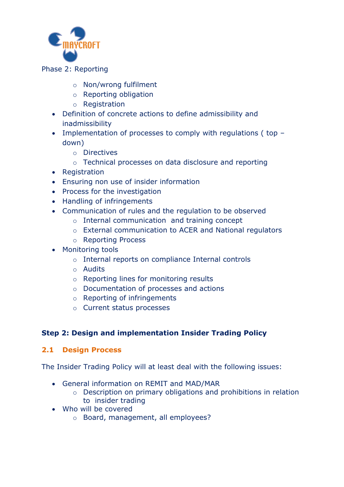

#### Phase 2: Reporting

- o Non/wrong fulfilment
- o Reporting obligation
- o Registration
- Definition of concrete actions to define admissibility and inadmissibility
- Implementation of processes to comply with regulations (top down)
	- o Directives
	- o Technical processes on data disclosure and reporting
- Registration
- Ensuring non use of insider information
- Process for the investigation
- Handling of infringements
- Communication of rules and the regulation to be observed
	- o Internal communication and training concept
	- o External communication to ACER and National regulators
	- o Reporting Process
- Monitoring tools
	- o Internal reports on compliance Internal controls
	- o Audits
	- o Reporting lines for monitoring results
	- o Documentation of processes and actions
	- o Reporting of infringements
	- o Current status processes

# **Step 2: Design and implementation Insider Trading Policy**

### **2.1 Design Process**

The Insider Trading Policy will at least deal with the following issues:

- General information on REMIT and MAD/MAR
	- o Description on primary obligations and prohibitions in relation to insider trading
- Who will be covered
	- o Board, management, all employees?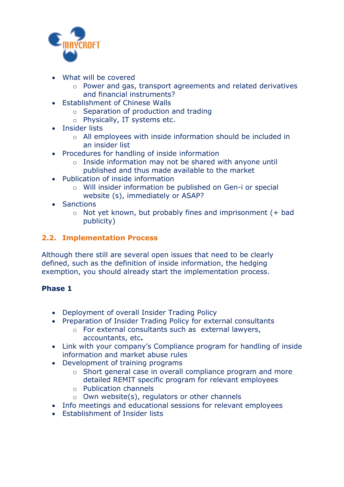

- What will be covered
	- o Power and gas, transport agreements and related derivatives and financial instruments?
- Establishment of Chinese Walls
	- o Separation of production and trading
	- o Physically, IT systems etc.
- **•** Insider lists
	- o All employees with inside information should be included in an insider list
- Procedures for handling of inside information
	- o Inside information may not be shared with anyone until published and thus made available to the market
- Publication of inside information
	- o Will insider information be published on Gen-i or special website (s), immediately or ASAP?
- Sanctions
	- $\circ$  Not yet known, but probably fines and imprisonment (+ bad publicity)

# **2.2. Implementation Process**

Although there still are several open issues that need to be clearly defined, such as the definition of inside information, the hedging exemption, you should already start the implementation process.

# **Phase 1**

- Deployment of overall Insider Trading Policy
- Preparation of Insider Trading Policy for external consultants
	- o For external consultants such as external lawyers, accountants, etc**.**
- Link with your company's Compliance program for handling of inside information and market abuse rules
- Development of training programs
	- o Short general case in overall compliance program and more detailed REMIT specific program for relevant employees
	- o Publication channels
	- $\circ$  Own website(s), regulators or other channels
- Info meetings and educational sessions for relevant employees
- Establishment of Insider lists